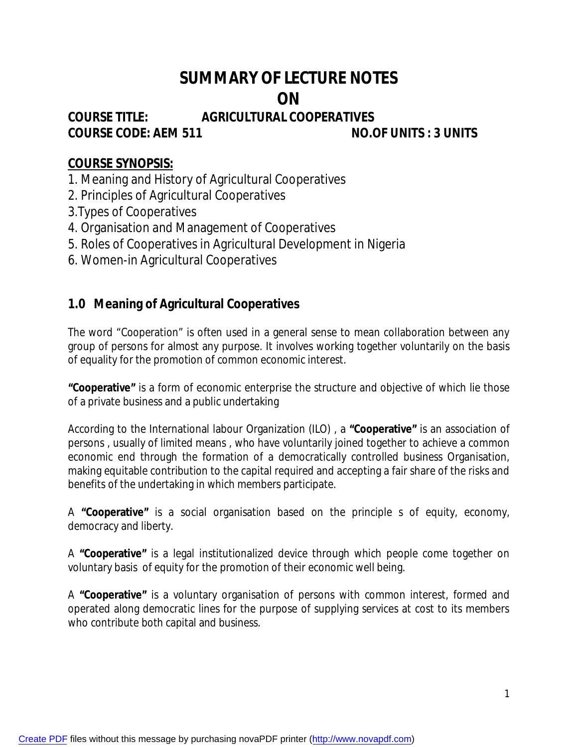# **SUMMARY OF LECTURE NOTES ON**

# **COURSE TITLE: AGRICULTURAL COOPERATIVES COURSE CODE: AEM 511 NO.OF UNITS : 3 UNITS**

# **COURSE SYNOPSIS:**

1. Meaning and History of Agricultural Cooperatives

- 2. Principles of Agricultural Cooperatives
- 3.Types of Cooperatives
- 4. Organisation and Management of Cooperatives
- 5. Roles of Cooperatives in Agricultural Development in Nigeria
- 6. Women-in Agricultural Cooperatives

# **1.0 Meaning of Agricultural Cooperatives**

The word "Cooperation" is often used in a general sense to mean collaboration between any group of persons for almost any purpose. It involves working together voluntarily on the basis of equality for the promotion of common economic interest.

**"Cooperative"** is a form of economic enterprise the structure and objective of which lie those of a private business and a public undertaking

According to the International labour Organization (ILO) , a **"Cooperative"** is an association of persons , usually of limited means , who have voluntarily joined together to achieve a common economic end through the formation of a democratically controlled business Organisation, making equitable contribution to the capital required and accepting a fair share of the risks and benefits of the undertaking in which members participate.

A **"Cooperative"** is a social organisation based on the principle s of equity, economy, democracy and liberty.

A **"Cooperative"** is a legal institutionalized device through which people come together on voluntary basis of equity for the promotion of their economic well being.

A **"Cooperative"** is a voluntary organisation of persons with common interest, formed and operated along democratic lines for the purpose of supplying services at cost to its members who contribute both capital and business.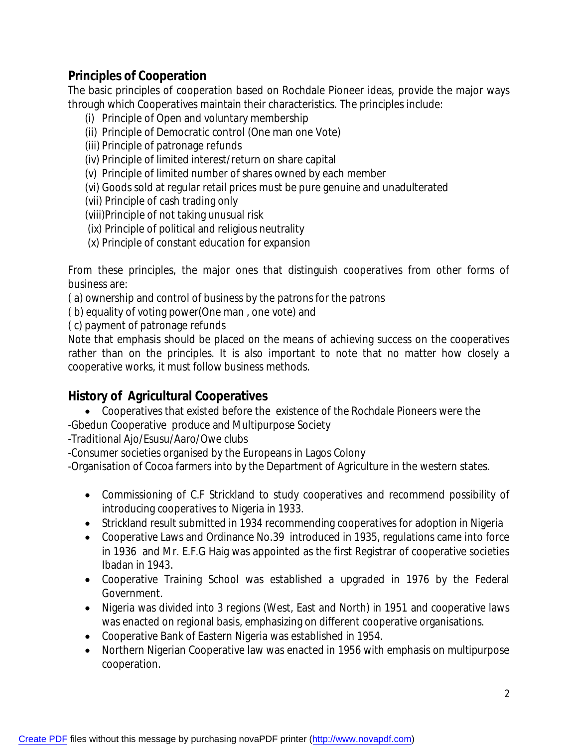# **Principles of Cooperation**

The basic principles of cooperation based on Rochdale Pioneer ideas, provide the major ways through which Cooperatives maintain their characteristics. The principles include:

- (i) Principle of Open and voluntary membership
- (ii) Principle of Democratic control (One man one Vote)
- (iii) Principle of patronage refunds
- (iv) Principle of limited interest/return on share capital
- (v) Principle of limited number of shares owned by each member
- (vi) Goods sold at regular retail prices must be pure genuine and unadulterated
- (vii) Principle of cash trading only
- (viii)Principle of not taking unusual risk
- (ix) Principle of political and religious neutrality
- (x) Principle of constant education for expansion

From these principles, the major ones that distinguish cooperatives from other forms of business are:

( a) ownership and control of business by the patrons for the patrons

( b) equality of voting power(One man , one vote) and

( c) payment of patronage refunds

Note that emphasis should be placed on the means of achieving success on the cooperatives rather than on the principles. It is also important to note that no matter how closely a cooperative works, it must follow business methods.

# **History of Agricultural Cooperatives**

 Cooperatives that existed before the existence of the Rochdale Pioneers were the -Gbedun Cooperative produce and Multipurpose Society

-Traditional Ajo/Esusu/Aaro/Owe clubs

-Consumer societies organised by the Europeans in Lagos Colony

-Organisation of Cocoa farmers into by the Department of Agriculture in the western states.

- Commissioning of C.F Strickland to study cooperatives and recommend possibility of introducing cooperatives to Nigeria in 1933.
- Strickland result submitted in 1934 recommending cooperatives for adoption in Nigeria
- Cooperative Laws and Ordinance No.39 introduced in 1935, regulations came into force in 1936 and Mr. E.F.G Haig was appointed as the first Registrar of cooperative societies Ibadan in 1943.
- Cooperative Training School was established a upgraded in 1976 by the Federal Government.
- Nigeria was divided into 3 regions (West, East and North) in 1951 and cooperative laws was enacted on regional basis, emphasizing on different cooperative organisations.
- Cooperative Bank of Eastern Nigeria was established in 1954.
- Northern Nigerian Cooperative law was enacted in 1956 with emphasis on multipurpose cooperation.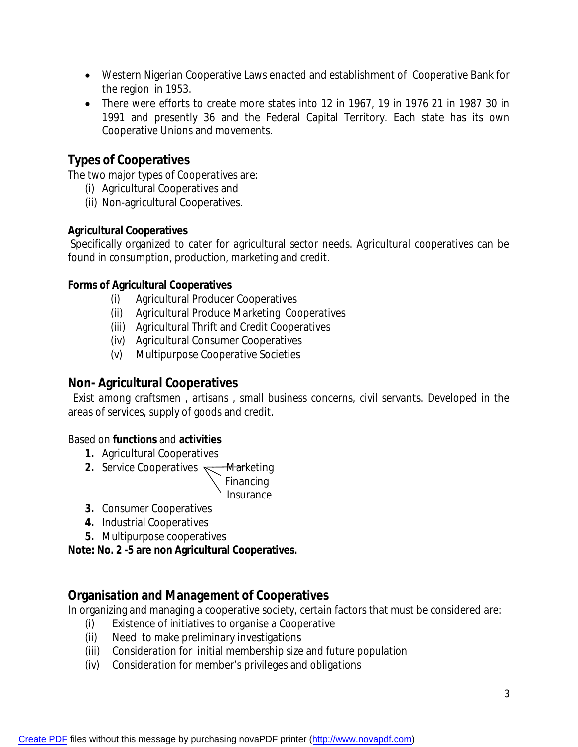- Western Nigerian Cooperative Laws enacted and establishment of Cooperative Bank for the region in 1953.
- There were efforts to create more states into 12 in 1967, 19 in 1976 21 in 1987 30 in 1991 and presently 36 and the Federal Capital Territory. Each state has its own Cooperative Unions and movements.

# **Types of Cooperatives**

The two major types of Cooperatives are:

- (i) Agricultural Cooperatives and
- (ii) Non-agricultural Cooperatives.

### **Agricultural Cooperatives**

Specifically organized to cater for agricultural sector needs. Agricultural cooperatives can be found in consumption, production, marketing and credit.

#### **Forms of Agricultural Cooperatives**

- (i) Agricultural Producer Cooperatives
- (ii) Agricultural Produce Marketing Cooperatives
- (iii) Agricultural Thrift and Credit Cooperatives
- (iv) Agricultural Consumer Cooperatives
- (v) Multipurpose Cooperative Societies

# **Non- Agricultural Cooperatives**

Exist among craftsmen , artisans , small business concerns, civil servants. Developed in the areas of services, supply of goods and credit.

#### Based on **functions** and **activities**

- **1.** Agricultural Cooperatives
- **2.** Service Cooperatives **Marketing**

 $\sum_{n=1}^{\infty}$ Financing Insurance

- **3.** Consumer Cooperatives
- **4.** Industrial Cooperatives
- **5.** Multipurpose cooperatives

**Note: No. 2 -5 are non Agricultural Cooperatives.**

# **Organisation and Management of Cooperatives**

In organizing and managing a cooperative society, certain factors that must be considered are:

- (i) Existence of initiatives to organise a Cooperative
- (ii) Need to make preliminary investigations
- (iii) Consideration for initial membership size and future population
- (iv) Consideration for member's privileges and obligations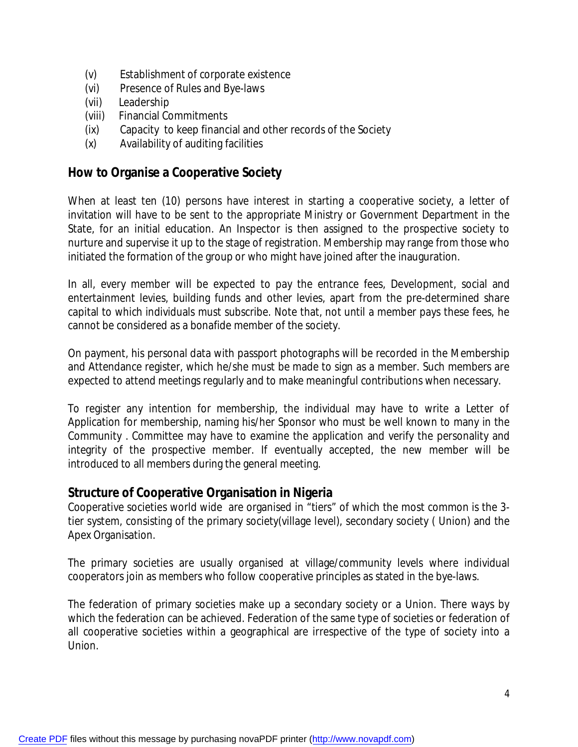- (v) Establishment of corporate existence
- (vi) Presence of Rules and Bye-laws
- (vii) Leadership
- (viii) Financial Commitments
- (ix) Capacity to keep financial and other records of the Society
- (x) Availability of auditing facilities

### **How to Organise a Cooperative Society**

When at least ten (10) persons have interest in starting a cooperative society, a letter of invitation will have to be sent to the appropriate Ministry or Government Department in the State, for an initial education. An Inspector is then assigned to the prospective society to nurture and supervise it up to the stage of registration. Membership may range from those who initiated the formation of the group or who might have joined after the inauguration.

In all, every member will be expected to pay the entrance fees, Development, social and entertainment levies, building funds and other levies, apart from the pre-determined share capital to which individuals must subscribe. Note that, not until a member pays these fees, he cannot be considered as a bonafide member of the society.

On payment, his personal data with passport photographs will be recorded in the Membership and Attendance register, which he/she must be made to sign as a member. Such members are expected to attend meetings regularly and to make meaningful contributions when necessary.

To register any intention for membership, the individual may have to write a Letter of Application for membership, naming his/her Sponsor who must be well known to many in the Community . Committee may have to examine the application and verify the personality and integrity of the prospective member. If eventually accepted, the new member will be introduced to all members during the general meeting.

# **Structure of Cooperative Organisation in Nigeria**

Cooperative societies world wide are organised in "tiers" of which the most common is the 3 tier system, consisting of the primary society(village level), secondary society ( Union) and the Apex Organisation.

The primary societies are usually organised at village/community levels where individual cooperators join as members who follow cooperative principles as stated in the bye-laws.

The federation of primary societies make up a secondary society or a Union. There ways by which the federation can be achieved. Federation of the same type of societies or federation of all cooperative societies within a geographical are irrespective of the type of society into a Union.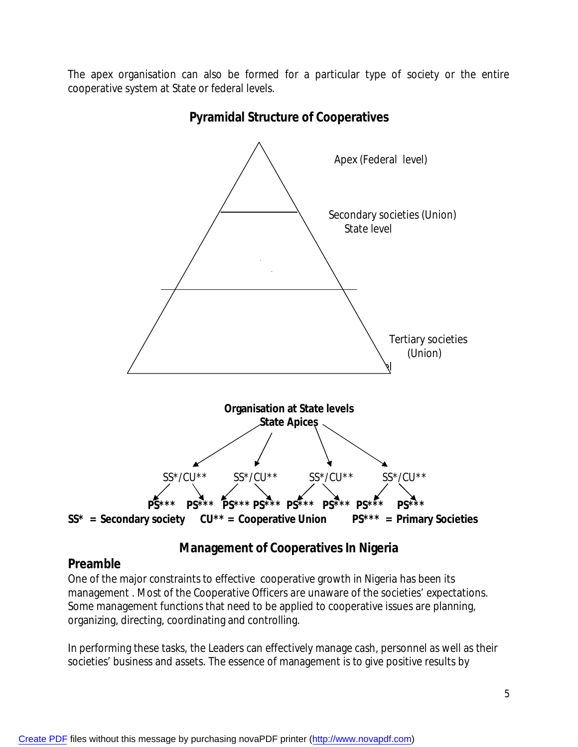The apex organisation can also be formed for a particular type of society or the entire cooperative system at State or federal levels.



**Pyramidal Structure of Cooperatives**

# **Management of Cooperatives In Nigeria**

# **Preamble**

One of the major constraints to effective cooperative growth in Nigeria has been its management . Most of the Cooperative Officers are unaware of the societies' expectations. Some management functions that need to be applied to cooperative issues are planning, organizing, directing, coordinating and controlling.

In performing these tasks, the Leaders can effectively manage cash, personnel as well as their societies' business and assets. The essence of management is to give positive results by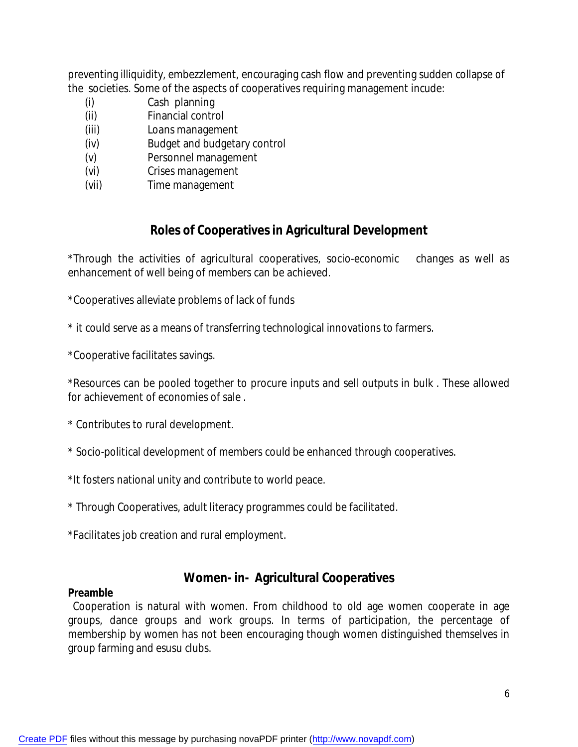preventing illiquidity, embezzlement, encouraging cash flow and preventing sudden collapse of the societies. Some of the aspects of cooperatives requiring management incude:

- (i) Cash planning
- (ii) Financial control
- (iii) Loans management
- (iv) Budget and budgetary control
- (v) Personnel management
- (vi) Crises management
- (vii) Time management

# **Roles of Cooperatives in Agricultural Development**

\*Through the activities of agricultural cooperatives, socio-economic changes as well as enhancement of well being of members can be achieved.

\*Cooperatives alleviate problems of lack of funds

\* it could serve as a means of transferring technological innovations to farmers.

\*Cooperative facilitates savings.

\*Resources can be pooled together to procure inputs and sell outputs in bulk . These allowed for achievement of economies of sale .

\* Contributes to rural development.

- \* Socio-political development of members could be enhanced through cooperatives.
- \*It fosters national unity and contribute to world peace.
- \* Through Cooperatives, adult literacy programmes could be facilitated.

\*Facilitates job creation and rural employment.

# **Women- in- Agricultural Cooperatives**

#### **Preamble**

 Cooperation is natural with women. From childhood to old age women cooperate in age groups, dance groups and work groups. In terms of participation, the percentage of membership by women has not been encouraging though women distinguished themselves in group farming and esusu clubs.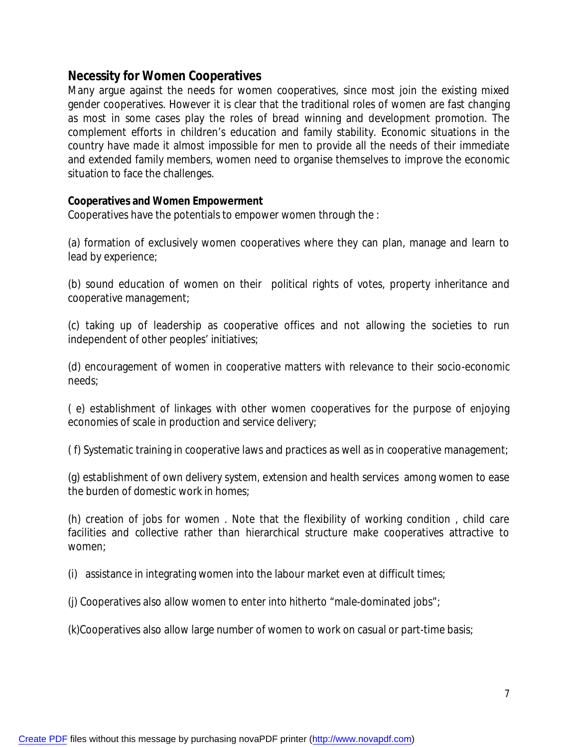### **Necessity for Women Cooperatives**

Many argue against the needs for women cooperatives, since most join the existing mixed gender cooperatives. However it is clear that the traditional roles of women are fast changing as most in some cases play the roles of bread winning and development promotion. The complement efforts in children's education and family stability. Economic situations in the country have made it almost impossible for men to provide all the needs of their immediate and extended family members, women need to organise themselves to improve the economic situation to face the challenges.

#### **Cooperatives and Women Empowerment**

Cooperatives have the potentials to empower women through the :

(a) formation of exclusively women cooperatives where they can plan, manage and learn to lead by experience;

(b) sound education of women on their political rights of votes, property inheritance and cooperative management;

(c) taking up of leadership as cooperative offices and not allowing the societies to run independent of other peoples' initiatives;

(d) encouragement of women in cooperative matters with relevance to their socio-economic needs;

( e) establishment of linkages with other women cooperatives for the purpose of enjoying economies of scale in production and service delivery;

( f) Systematic training in cooperative laws and practices as well as in cooperative management;

(g) establishment of own delivery system, extension and health services among women to ease the burden of domestic work in homes;

(h) creation of jobs for women . Note that the flexibility of working condition , child care facilities and collective rather than hierarchical structure make cooperatives attractive to women;

(i) assistance in integrating women into the labour market even at difficult times;

(j) Cooperatives also allow women to enter into hitherto "male-dominated jobs";

(k)Cooperatives also allow large number of women to work on casual or part-time basis;